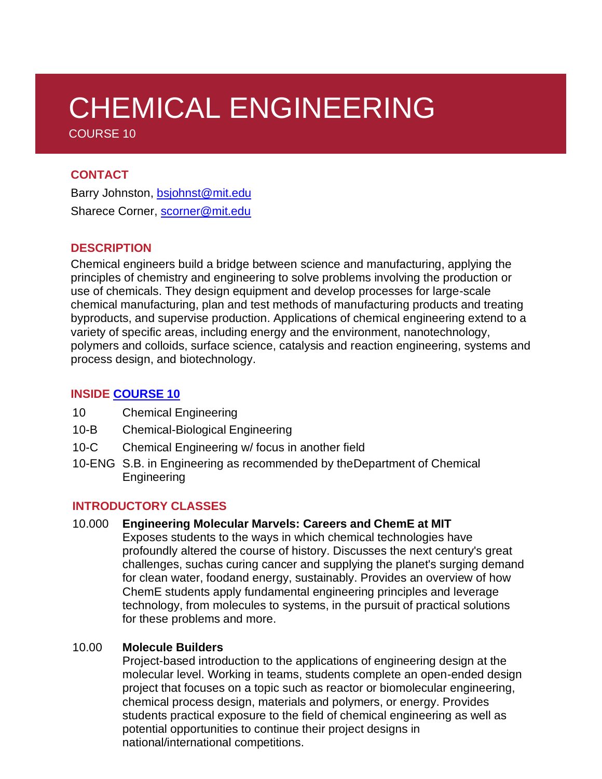# CHEMICAL ENGINEERING COURSE 10

#### **CONTACT**

Barry Johnston, [bsjohnst@mit.edu](mailto:bsjohnst@mit.edu) Sharece Corner, [scorner@mit.edu](mailto:scorner@mit.edu)

### **DESCRIPTION**

Chemical engineers build a bridge between science and manufacturing, applying the principles of chemistry and engineering to solve problems involving the production or use of chemicals. They design equipment and develop processes for large-scale chemical manufacturing, plan and test methods of manufacturing products and treating byproducts, and supervise production. Applications of chemical engineering extend to a variety of specific areas, including energy and the environment, nanotechnology, polymers and colloids, surface science, catalysis and reaction engineering, systems and process design, and biotechnology.

## **INSIDE [COURSE](https://cheme.mit.edu/academics/undergraduate-students/undergraduate-programs/) 10**

- 10 Chemical Engineering
- 10-B Chemical-Biological Engineering
- 10-C Chemical Engineering w/ focus in another field
- 10-ENG S.B. in Engineering as recommended by theDepartment of Chemical Engineering

#### **INTRODUCTORY CLASSES**

#### 10.000 **Engineering Molecular Marvels: Careers and ChemE at MIT**

Exposes students to the ways in which chemical technologies have profoundly altered the course of history. Discusses the next century's great challenges, suchas curing cancer and supplying the planet's surging demand for clean water, foodand energy, sustainably. Provides an overview of how ChemE students apply fundamental engineering principles and leverage technology, from molecules to systems, in the pursuit of practical solutions for these problems and more.

#### 10.00 **Molecule Builders**

Project-based introduction to the applications of engineering design at the molecular level. Working in teams, students complete an open-ended design project that focuses on a topic such as reactor or biomolecular engineering, chemical process design, materials and polymers, or energy. Provides students practical exposure to the field of chemical engineering as well as potential opportunities to continue their project designs in national/international competitions.